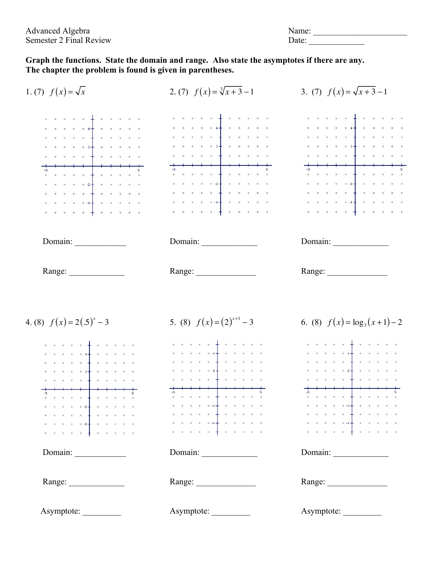| Advanced Algebra        | Name: |
|-------------------------|-------|
| Semester 2 Final Review | Date: |

**Graph the functions. State the domain and range. Also state the asymptotes if there are any. The chapter the problem is found is given in parentheses.**

| 1. (7) $f(x) = \sqrt{x}$                                                                                                                                                                                                                                      | 2. (7) $f(x) = \sqrt[3]{x+3} - 1$                                                                                                                                                                                                                                                                                                                                                                                                                                                                                                                                                                                                                                                                                                                                                                                                                                                                                                                                                                                                                                                                                                                                                                                                                                                                                                                                                                                                                                              | 3. (7) $f(x) = \sqrt{x+3} - 1$                                                                                                                                                                                                                                                                                                                                                                                                                                |
|---------------------------------------------------------------------------------------------------------------------------------------------------------------------------------------------------------------------------------------------------------------|--------------------------------------------------------------------------------------------------------------------------------------------------------------------------------------------------------------------------------------------------------------------------------------------------------------------------------------------------------------------------------------------------------------------------------------------------------------------------------------------------------------------------------------------------------------------------------------------------------------------------------------------------------------------------------------------------------------------------------------------------------------------------------------------------------------------------------------------------------------------------------------------------------------------------------------------------------------------------------------------------------------------------------------------------------------------------------------------------------------------------------------------------------------------------------------------------------------------------------------------------------------------------------------------------------------------------------------------------------------------------------------------------------------------------------------------------------------------------------|---------------------------------------------------------------------------------------------------------------------------------------------------------------------------------------------------------------------------------------------------------------------------------------------------------------------------------------------------------------------------------------------------------------------------------------------------------------|
| a construction of the construction<br>. <u>.</u><br>$\label{eq:2.1} \mathbf{a} = \mathbf{a} - \mathbf{a} = \mathbf{a} - \mathbf{a} + \frac{1}{2} - \frac{1}{2} \mathbf{a} - \mathbf{a} - \mathbf{a} - \mathbf{a} - \mathbf{a}$<br>. <b>.</b>                  | $\begin{array}{lllllllllllllll} \mathbf{a} & \mathbf{a} & \mathbf{a} & \mathbf{a} & \mathbf{a} & \mathbf{a} & \mathbf{a} & \mathbf{a} & \mathbf{a} & \mathbf{a} & \mathbf{a} & \mathbf{a} \\ \mathbf{a} & \mathbf{a} & \mathbf{a} & \mathbf{a} & \mathbf{a} & \mathbf{a} & \mathbf{a} & \mathbf{a} & \mathbf{a} & \mathbf{a} & \mathbf{a} & \mathbf{a} \\ \mathbf{a} & \mathbf{a} & \mathbf{a} & \mathbf{a} & \mathbf{a} & \mathbf$<br>$\label{eq:2.1} \begin{array}{lllllllllllllllllll} \mathbf{1} & \mathbf{1} & \mathbf{1} & \mathbf{1} & \mathbf{1} & \mathbf{1} & \mathbf{1} & \mathbf{1} & \mathbf{1} & \mathbf{1} & \mathbf{1} & \mathbf{1} & \mathbf{1} & \mathbf{1} & \mathbf{1} & \mathbf{1} & \mathbf{1} & \mathbf{1} & \mathbf{1} & \mathbf{1} & \mathbf{1} & \mathbf{1} & \mathbf{1} & \mathbf{1} & \mathbf{1} & \mathbf{1} & \mathbf{1} & \mathbf{1}$<br>$\mathbf{r} = \mathbf{r} - \mathbf{r} + \mathbf{r} - \mathbf{r} - \mathbf{r} + \mathbf{r} - \mathbf{r} - \mathbf{r} - \mathbf{r} - \mathbf{r} - \mathbf{r} - \mathbf{r}$<br>$\mathbf{z} = \mathbf{z} - \mathbf{z} - \mathbf{z} - \mathbf{z} - \mathbf{z} + \mathbf{z} + \mathbf{z} - \mathbf{z} - \mathbf{z} - \mathbf{z} - \mathbf{z} + \mathbf{z} + \mathbf{z}$<br>$\frac{1}{2}$ . A set of the set of the set of the set of the set of the set of the set of the set of the set of the set of the set of the set of the set of the set of the set of the set of the set of the set of the set of th | $\mathcal{L}^{\mathcal{A}}(\mathcal{A}) = \mathcal{K}^{\mathcal{A}}(\mathcal{A}) = \mathcal{K}^{\mathcal{A}}(\mathcal{A}) = \mathcal{K}^{\mathcal{A}}(\mathcal{A}) = \mathcal{K}^{\mathcal{A}}(\mathcal{A}) = \mathcal{K}^{\mathcal{A}}(\mathcal{A}) = \mathcal{K}^{\mathcal{A}}(\mathcal{A})$<br>$\mathbf{z} = \mathbf{z} - \mathbf{z} - \mathbf{z} - \mathbf{z} + \mathbf{z} - \mathbf{z} - \mathbf{z} - \mathbf{z} - \mathbf{z} - \mathbf{z} - \mathbf{z}$ |
|                                                                                                                                                                                                                                                               |                                                                                                                                                                                                                                                                                                                                                                                                                                                                                                                                                                                                                                                                                                                                                                                                                                                                                                                                                                                                                                                                                                                                                                                                                                                                                                                                                                                                                                                                                |                                                                                                                                                                                                                                                                                                                                                                                                                                                               |
| Range: $\frac{1}{\sqrt{1-\frac{1}{2}} \cdot \frac{1}{2}}$                                                                                                                                                                                                     |                                                                                                                                                                                                                                                                                                                                                                                                                                                                                                                                                                                                                                                                                                                                                                                                                                                                                                                                                                                                                                                                                                                                                                                                                                                                                                                                                                                                                                                                                |                                                                                                                                                                                                                                                                                                                                                                                                                                                               |
| 4. (8) $f(x) = 2(.5)^{x} - 3$                                                                                                                                                                                                                                 | 5. (8) $f(x)=(2)^{x+1}-3$                                                                                                                                                                                                                                                                                                                                                                                                                                                                                                                                                                                                                                                                                                                                                                                                                                                                                                                                                                                                                                                                                                                                                                                                                                                                                                                                                                                                                                                      | 6. (8) $f(x) = \log_3(x+1)-2$                                                                                                                                                                                                                                                                                                                                                                                                                                 |
| $\mathcal{A}$ , which is the first part of the $\mathcal{A}$ -fixed $\mathcal{A}$ , and<br>$\mathbf{z} = \mathbf{z}_1 - \mathbf{z}_2 - \mathbf{z}_3 - \mathbf{z}_4 - \mathbf{z}_5 - \mathbf{z}_6 - \mathbf{z}_7 - \mathbf{z}_8 - \mathbf{z}_7 - \mathbf{z}_8$ |                                                                                                                                                                                                                                                                                                                                                                                                                                                                                                                                                                                                                                                                                                                                                                                                                                                                                                                                                                                                                                                                                                                                                                                                                                                                                                                                                                                                                                                                                |                                                                                                                                                                                                                                                                                                                                                                                                                                                               |
|                                                                                                                                                                                                                                                               |                                                                                                                                                                                                                                                                                                                                                                                                                                                                                                                                                                                                                                                                                                                                                                                                                                                                                                                                                                                                                                                                                                                                                                                                                                                                                                                                                                                                                                                                                |                                                                                                                                                                                                                                                                                                                                                                                                                                                               |
|                                                                                                                                                                                                                                                               |                                                                                                                                                                                                                                                                                                                                                                                                                                                                                                                                                                                                                                                                                                                                                                                                                                                                                                                                                                                                                                                                                                                                                                                                                                                                                                                                                                                                                                                                                | . <b>.</b>                                                                                                                                                                                                                                                                                                                                                                                                                                                    |
|                                                                                                                                                                                                                                                               |                                                                                                                                                                                                                                                                                                                                                                                                                                                                                                                                                                                                                                                                                                                                                                                                                                                                                                                                                                                                                                                                                                                                                                                                                                                                                                                                                                                                                                                                                |                                                                                                                                                                                                                                                                                                                                                                                                                                                               |
| . <b>. .</b>                                                                                                                                                                                                                                                  | $\mathbf{x} = \mathbf{x} - \mathbf{x} = \mathbf{x} - \mathbf{x} - \mathbf{x} + \mathbf{z} + \mathbf{x} = \mathbf{x} - \mathbf{x} - \mathbf{x} - \mathbf{x}$                                                                                                                                                                                                                                                                                                                                                                                                                                                                                                                                                                                                                                                                                                                                                                                                                                                                                                                                                                                                                                                                                                                                                                                                                                                                                                                    |                                                                                                                                                                                                                                                                                                                                                                                                                                                               |
| $-1$ , $-1$ , $-1$ , $-1$ , $-1$ , $-1$ , $-1$<br><b>Contract and Contract and Contract and</b>                                                                                                                                                               | . <b>.</b><br>$\mathbf{a} = \mathbf{a} + \left(\mathbf{a}\right) = \mathbf{a} - \left(\mathbf{a} + \mathbf{a}\right) + \left(\mathbf{a}\right) = \mathbf{a} - \left(\mathbf{a}\right) = \mathbf{a} - \left(\mathbf{a}\right)$                                                                                                                                                                                                                                                                                                                                                                                                                                                                                                                                                                                                                                                                                                                                                                                                                                                                                                                                                                                                                                                                                                                                                                                                                                                  | $\frac{1}{2}$ , $\frac{1}{2}$ , $\frac{1}{2}$ , $\frac{1}{2}$ , $\frac{1}{2}$ , $\frac{1}{2}$ , $\frac{1}{2}$ , $\frac{1}{2}$ , $\frac{1}{2}$ , $\frac{1}{2}$                                                                                                                                                                                                                                                                                                 |
| .                                                                                                                                                                                                                                                             | . <b>.</b>                                                                                                                                                                                                                                                                                                                                                                                                                                                                                                                                                                                                                                                                                                                                                                                                                                                                                                                                                                                                                                                                                                                                                                                                                                                                                                                                                                                                                                                                     | 1.7.7.7.7.4.7.7.7.7.7.7.                                                                                                                                                                                                                                                                                                                                                                                                                                      |
| Domain:                                                                                                                                                                                                                                                       |                                                                                                                                                                                                                                                                                                                                                                                                                                                                                                                                                                                                                                                                                                                                                                                                                                                                                                                                                                                                                                                                                                                                                                                                                                                                                                                                                                                                                                                                                |                                                                                                                                                                                                                                                                                                                                                                                                                                                               |
| Range: $\frac{1}{\sqrt{1-\frac{1}{2}} \cdot \frac{1}{2}}$                                                                                                                                                                                                     |                                                                                                                                                                                                                                                                                                                                                                                                                                                                                                                                                                                                                                                                                                                                                                                                                                                                                                                                                                                                                                                                                                                                                                                                                                                                                                                                                                                                                                                                                |                                                                                                                                                                                                                                                                                                                                                                                                                                                               |
| Asymptote:                                                                                                                                                                                                                                                    | Asymptote:                                                                                                                                                                                                                                                                                                                                                                                                                                                                                                                                                                                                                                                                                                                                                                                                                                                                                                                                                                                                                                                                                                                                                                                                                                                                                                                                                                                                                                                                     | Asymptote:                                                                                                                                                                                                                                                                                                                                                                                                                                                    |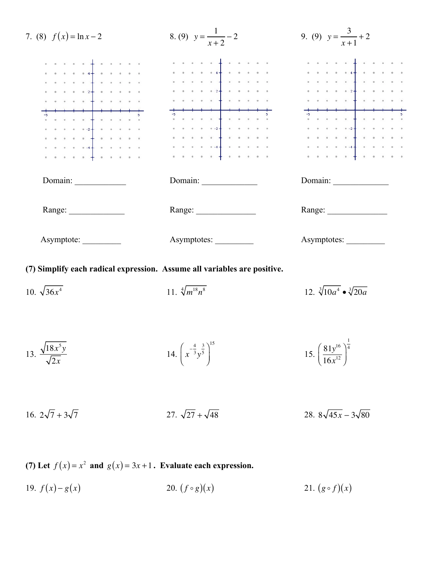

### **(7) Simplify each radical expression. Assume all variables are positive.**

- 10.  $\sqrt{36x^4}$  $11. \sqrt[4]{m^{18}}n$  $\sqrt[4]{m^{18}n^8}$  12.  $\sqrt[3]{10a^4} \cdot \sqrt[3]{20a}$ 13.  $\frac{\sqrt{18x^5y}}{\sqrt{9}}$ 2*x* 14.  $\vert x \vert$  $-\frac{4}{3}$ 3 *y*  $\int \frac{4}{x-3} \frac{3}{y^5}$  $\overline{\mathcal{N}}$ ⎞  $\overline{a}$ 15 15.  $\left(\frac{81y^{16}}{15x^{12}}\right)$  $16x^{12}$  $\sqrt{}$  $\overline{\mathcal{N}}$  $\overline{a}$  $\overline{a}$ 1 4
- 16.  $2\sqrt{7} + 3\sqrt{7}$  27.  $\sqrt{27} + \sqrt{48}$  28.  $8\sqrt{45x} 3\sqrt{80}$

**(7)** Let  $f(x) = x^2$  and  $g(x) = 3x + 1$ . Evaluate each expression.

19.  $f(x) - g(x)$  20.  $(f \circ g)(x)$  21.  $(g \circ f)(x)$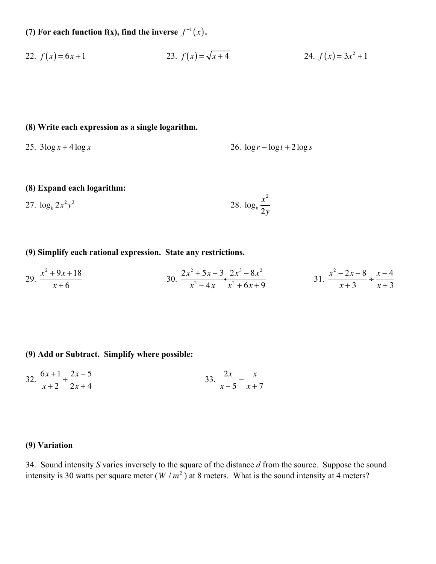**(7) For each function f(x), find the inverse**  $f^{-1}(x)$ .

22. 
$$
f(x) = 6x + 1
$$
  
23.  $f(x) = \sqrt{x+4}$   
24.  $f(x) = 3x^2 + 1$ 

- **(8) Write each expression as a single logarithm.**
- 

25.  $3\log x + 4\log x$  26.  $\log r - \log t + 2\log s$ 

 $\overline{a}$ 

#### **(8) Expand each logarithm:**

27. 
$$
\log_b 2x^2y^3
$$
 28.  $\log_b \frac{x^2}{2y}$ 

# **(9) Simplify each rational expression. State any restrictions.**

29. 
$$
\frac{x^2 + 9x + 18}{x + 6}
$$
  
30. 
$$
\frac{2x^2 + 5x - 3}{x^2 - 4x} \cdot \frac{2x^3 - 8x^2}{x^2 + 6x + 9}
$$
  
31. 
$$
\frac{x^2 - 2x - 8}{x + 3} \div \frac{x - 4}{x + 3}
$$

### **(9) Add or Subtract. Simplify where possible:**

32. 
$$
\frac{6x+1}{x+2} + \frac{2x-5}{2x+4}
$$
33. 
$$
\frac{2x}{x-5} - \frac{x}{x+7}
$$

# **(9) Variation**

34. Sound intensity *S* varies inversely to the square of the distance *d* from the source. Suppose the sound intensity is 30 watts per square meter  $(W/m^2)$  at 8 meters. What is the sound intensity at 4 meters?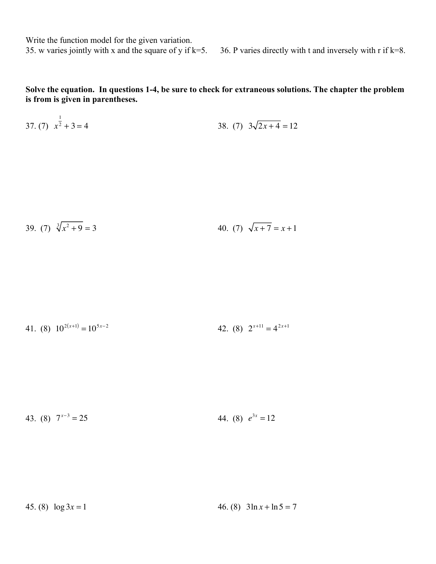Write the function model for the given variation.

 $\overline{\phantom{0}}$ 

35. w varies jointly with x and the square of y if  $k=5$ . 36. P varies directly with t and inversely with r if  $k=8$ .

**Solve the equation. In questions 1-4, be sure to check for extraneous solutions. The chapter the problem is from is given in parentheses.**

37. (7) 
$$
x^{\frac{1}{2}} + 3 = 4
$$
 38. (7)  $3\sqrt{2x + 4} = 12$ 

39. (7) 
$$
\sqrt[3]{x^2 + 9} = 3
$$
 40. (7)  $\sqrt{x + 7} = x + 1$ 

41. (8) 
$$
10^{2(x+1)} = 10^{5x-2}
$$
 42. (8)  $2^{x+11} = 4^{2x+1}$ 

43. (8)  $7^{x-3} = 25$ 44. (8)  $e^{3x} = 12$ 

45. (8)  $\log 3x = 1$  46. (8)  $3\ln x + \ln 5 = 7$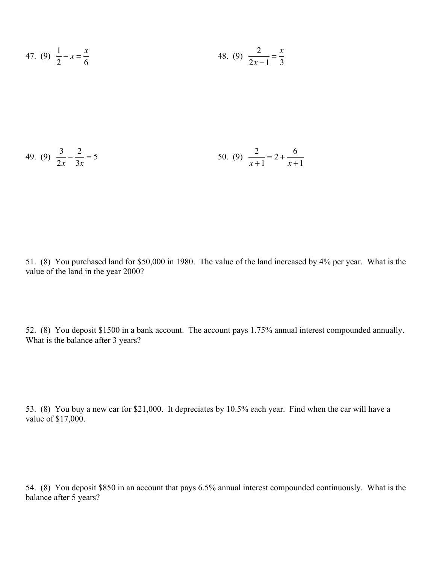47. (9) 
$$
\frac{1}{2} - x = \frac{x}{6}
$$
 48. (9)  $\frac{2}{2x - 1} = \frac{x}{3}$ 

49. (9) 
$$
\frac{3}{2x} - \frac{2}{3x} = 5
$$
 5  
50. (9)  $\frac{2}{x+1} = 2 + \frac{6}{x+1}$ 

51. (8) You purchased land for \$50,000 in 1980. The value of the land increased by 4% per year. What is the value of the land in the year 2000?

52. (8) You deposit \$1500 in a bank account. The account pays 1.75% annual interest compounded annually. What is the balance after 3 years?

53. (8) You buy a new car for \$21,000. It depreciates by 10.5% each year. Find when the car will have a value of \$17,000.

54. (8) You deposit \$850 in an account that pays 6.5% annual interest compounded continuously. What is the balance after 5 years?